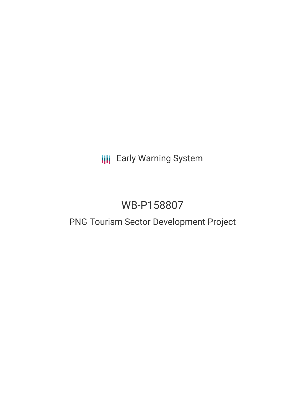**III** Early Warning System

# WB-P158807

## PNG Tourism Sector Development Project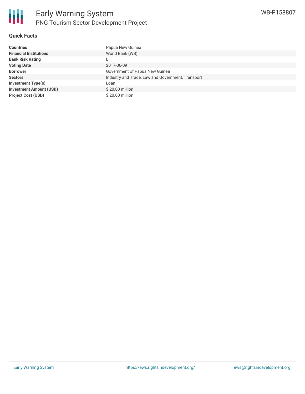

### **Quick Facts**

| <b>Countries</b>               | Papua New Guinea                                  |
|--------------------------------|---------------------------------------------------|
| <b>Financial Institutions</b>  | World Bank (WB)                                   |
| <b>Bank Risk Rating</b>        | B                                                 |
| <b>Voting Date</b>             | 2017-06-09                                        |
| <b>Borrower</b>                | Government of Papua New Guinea                    |
| <b>Sectors</b>                 | Industry and Trade, Law and Government, Transport |
| Investment Type(s)             | Loan                                              |
| <b>Investment Amount (USD)</b> | \$20.00 million                                   |
| <b>Project Cost (USD)</b>      | \$20.00 million                                   |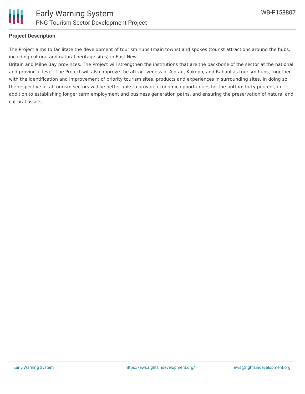

#### **Project Description**

The Project aims to facilitate the development of tourism hubs (main towns) and spokes (tourist attractions around the hubs, including cultural and natural heritage sites) in East New

Britain and Milne Bay provinces. The Project will strengthen the institutions that are the backbone of the sector at the national and provincial level. The Project will also improve the attractiveness of Alotau, Kokopo, and Rabaul as tourism hubs, together with the identification and improvement of priority tourism sites, products and experiences in surrounding sites. In doing so, the respective local tourism sectors will be better able to provide economic opportunities for the bottom forty percent, in addition to establishing longer term employment and business generation paths, and ensuring the preservation of natural and cultural assets.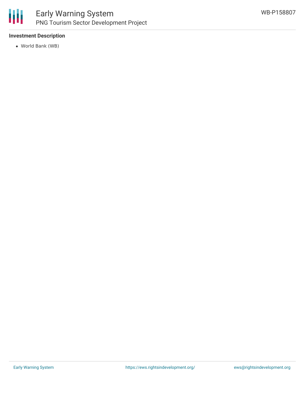

### **Investment Description**

World Bank (WB)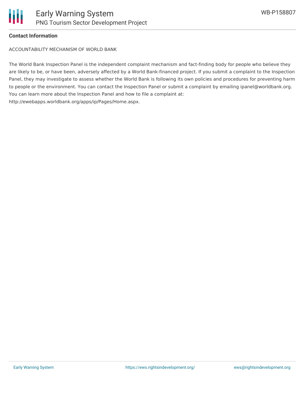

#### **Contact Information**

ACCOUNTABILITY MECHANISM OF WORLD BANK

The World Bank Inspection Panel is the independent complaint mechanism and fact-finding body for people who believe they are likely to be, or have been, adversely affected by a World Bank-financed project. If you submit a complaint to the Inspection Panel, they may investigate to assess whether the World Bank is following its own policies and procedures for preventing harm to people or the environment. You can contact the Inspection Panel or submit a complaint by emailing ipanel@worldbank.org. You can learn more about the Inspection Panel and how to file a complaint at: http://ewebapps.worldbank.org/apps/ip/Pages/Home.aspx.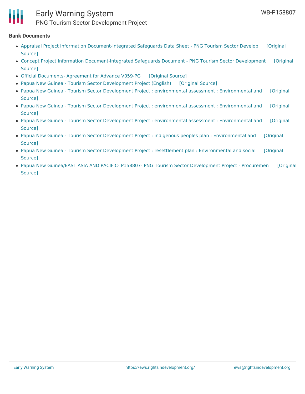### Early Warning System PNG Tourism Sector Development Project

#### **Bank Documents**

- Appraisal Project Information [Document-Integrated](https://ewsdata.rightsindevelopment.org/files/documents/07/WB-P158807_XT3kM7C.pdf) Safeguards Data Sheet PNG Tourism Sector Develop [Original Source]
- Concept Project Information [Document-Integrated](https://ewsdata.rightsindevelopment.org/files/documents/07/WB-P158807_9QaxoIp.pdf) Safeguards Document PNG Tourism Sector Development [Original Source]
- Official [Documents-](https://ewsdata.rightsindevelopment.org/files/documents/07/WB-P158807_o8Oi5Gj.pdf) Agreement for Advance V059-PG [\[Original](http://documents.worldbank.org/curated/en/659411490886703035/pdf/ITK171540-201702301107.pdf) Source]
- Papua New Guinea Tourism Sector [Development](https://ewsdata.rightsindevelopment.org/files/documents/07/WB-P158807.pdf) Project (English) [\[Original](http://documents.worldbank.org/curated/en/361921497232827714/pdf/PGN-PAD-05222017.pdf) Source]
- Papua New Guinea Tourism Sector Development Project : environmental assessment : [Environmental](https://ewsdata.rightsindevelopment.org/files/documents/07/WB-P158807_9r70FD9.pdf) and [Original Source]
- Papua New Guinea Tourism Sector Development Project : environmental assessment : [Environmental](https://ewsdata.rightsindevelopment.org/files/documents/07/WB-P158807_Y0QyObb.pdf) and [Original Source]
- Papua New Guinea Tourism Sector Development Project : environmental assessment : [Environmental](https://ewsdata.rightsindevelopment.org/files/documents/07/WB-P158807_H7PrzH8.pdf) and [Original Source]
- Papua New Guinea Tourism Sector Development Project : indigenous peoples plan : [Environmental](https://ewsdata.rightsindevelopment.org/files/documents/07/WB-P158807_Plo72KS.pdf) and [Original Source]
- Papua New Guinea Tourism Sector Development Project : resettlement plan : [Environmental](https://ewsdata.rightsindevelopment.org/files/documents/07/WB-P158807_6rCnRA4.pdf) and social [Original Source]
- Papua New Guinea/EAST ASIA AND PACIFIC- P158807- PNG Tourism Sector [Development](https://ewsdata.rightsindevelopment.org/files/documents/07/WB-P158807_w5Uvo3f.pdf) Project Procuremen [Original Source]